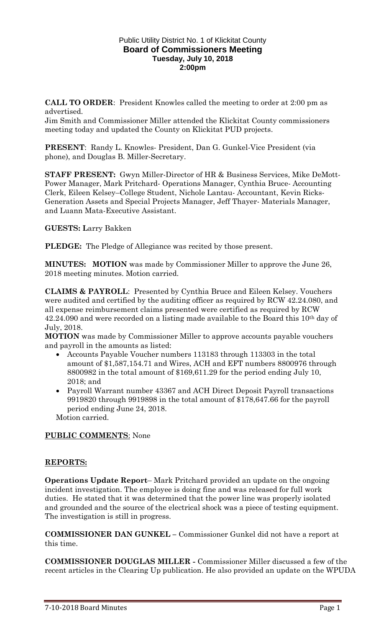### Public Utility District No. 1 of Klickitat County **Board of Commissioners Meeting Tuesday, July 10, 2018 2:00pm**

**CALL TO ORDER**: President Knowles called the meeting to order at 2:00 pm as advertised.

Jim Smith and Commissioner Miller attended the Klickitat County commissioners meeting today and updated the County on Klickitat PUD projects.

**PRESENT**: Randy L. Knowles- President, Dan G. Gunkel-Vice President (via phone), and Douglas B. Miller-Secretary.

**STAFF PRESENT:** Gwyn Miller-Director of HR & Business Services, Mike DeMott-Power Manager, Mark Pritchard- Operations Manager, Cynthia Bruce- Accounting Clerk, Eileen Kelsey–College Student, Nichole Lantau- Accountant, Kevin Ricks-Generation Assets and Special Projects Manager, Jeff Thayer- Materials Manager, and Luann Mata-Executive Assistant.

**GUESTS: L**arry Bakken

**PLEDGE:** The Pledge of Allegiance was recited by those present.

**MINUTES: MOTION** was made by Commissioner Miller to approve the June 26, 2018 meeting minutes. Motion carried.

**CLAIMS & PAYROLL**: Presented by Cynthia Bruce and Eileen Kelsey. Vouchers were audited and certified by the auditing officer as required by RCW 42.24.080, and all expense reimbursement claims presented were certified as required by RCW 42.24.090 and were recorded on a listing made available to the Board this 10th day of July, 2018.

**MOTION** was made by Commissioner Miller to approve accounts payable vouchers and payroll in the amounts as listed:

- Accounts Payable Voucher numbers 113183 through 113303 in the total amount of \$1,587,154.71 and Wires, ACH and EFT numbers 8800976 through 8800982 in the total amount of \$169,611.29 for the period ending July 10, 2018; and
- Payroll Warrant number 43367 and ACH Direct Deposit Payroll transactions 9919820 through 9919898 in the total amount of \$178,647.66 for the payroll period ending June 24, 2018.

Motion carried.

### **PUBLIC COMMENTS**: None

### **REPORTS:**

**Operations Update Report**– Mark Pritchard provided an update on the ongoing incident investigation. The employee is doing fine and was released for full work duties. He stated that it was determined that the power line was properly isolated and grounded and the source of the electrical shock was a piece of testing equipment. The investigation is still in progress.

**COMMISSIONER DAN GUNKEL –** Commissioner Gunkel did not have a report at this time.

**COMMISSIONER DOUGLAS MILLER -** Commissioner Miller discussed a few of the recent articles in the Clearing Up publication. He also provided an update on the WPUDA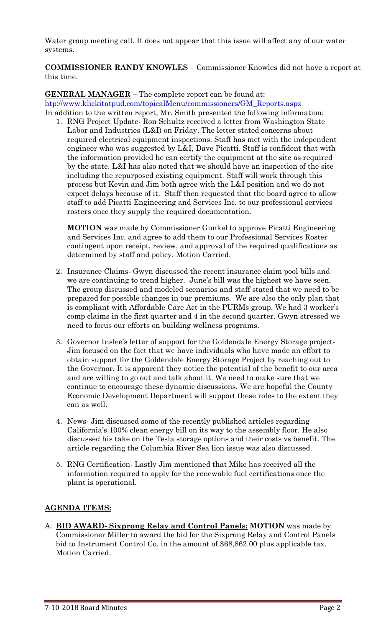Water group meeting call. It does not appear that this issue will affect any of our water systems.

**COMMISSIONER RANDY KNOWLES** – Commissioner Knowles did not have a report at this time.

**GENERAL MANAGER –** The complete report can be found at: [htp://www.klickitatpud.com/topicalMenu/commissioners/GM\\_Reports.aspx](http://www.klickitatpud.com/topicalMenu/commissioners/GM_Reports.aspx) In addition to the written report, Mr. Smith presented the following information:

1. RNG Project Update- Ron Schultz received a letter from Washington State Labor and Industries (L&I) on Friday. The letter stated concerns about required electrical equipment inspections. Staff has met with the independent engineer who was suggested by L&I, Dave Picatti. Staff is confident that with the information provided he can certify the equipment at the site as required by the state. L&I has also noted that we should have an inspection of the site including the repurposed existing equipment. Staff will work through this process but Kevin and Jim both agree with the L&I position and we do not expect delays because of it. Staff then requested that the board agree to allow staff to add Picatti Engineering and Services Inc. to our professional services rosters once they supply the required documentation.

**MOTION** was made by Commissioner Gunkel to approve Picatti Engineering and Services Inc. and agree to add them to our Professional Services Roster contingent upon receipt, review, and approval of the required qualifications as determined by staff and policy. Motion Carried.

- 2. Insurance Claims- Gwyn discussed the recent insurance claim pool bills and we are continuing to trend higher. June's bill was the highest we have seen. The group discussed and modeled scenarios and staff stated that we need to be prepared for possible changes in our premiums. We are also the only plan that is compliant with Affordable Care Act in the PURMs group. We had 3 worker's comp claims in the first quarter and 4 in the second quarter. Gwyn stressed we need to focus our efforts on building wellness programs.
- 3. Governor Inslee's letter of support for the Goldendale Energy Storage project-Jim focused on the fact that we have individuals who have made an effort to obtain support for the Goldendale Energy Storage Project by reaching out to the Governor. It is apparent they notice the potential of the benefit to our area and are willing to go out and talk about it. We need to make sure that we continue to encourage these dynamic discussions. We are hopeful the County Economic Development Department will support these roles to the extent they can as well.
- 4. News- Jim discussed some of the recently published articles regarding California's 100% clean energy bill on its way to the assembly floor. He also discussed his take on the Tesla storage options and their costs vs benefit. The article regarding the Columbia River Sea lion issue was also discussed.
- 5. RNG Certification- Lastly Jim mentioned that Mike has received all the information required to apply for the renewable fuel certifications once the plant is operational.

# **AGENDA ITEMS:**

A. **BID AWARD- Sixprong Relay and Control Panels: MOTION** was made by Commissioner Miller to award the bid for the Sixprong Relay and Control Panels bid to Instrument Control Co. in the amount of \$68,862.00 plus applicable tax. Motion Carried.